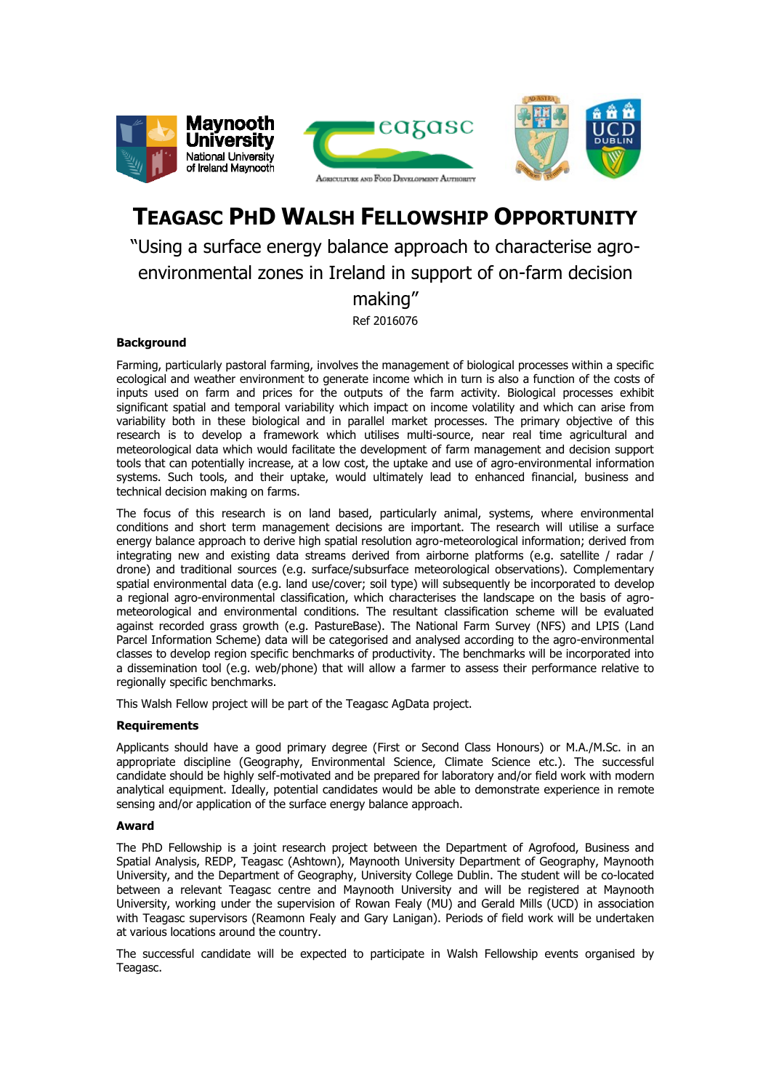

# **TEAGASC PHD WALSH FELLOWSHIP OPPORTUNITY**

# "Using a surface energy balance approach to characterise agroenvironmental zones in Ireland in support of on-farm decision making" Ref 2016076

## **Background**

Farming, particularly pastoral farming, involves the management of biological processes within a specific ecological and weather environment to generate income which in turn is also a function of the costs of inputs used on farm and prices for the outputs of the farm activity. Biological processes exhibit significant spatial and temporal variability which impact on income volatility and which can arise from variability both in these biological and in parallel market processes. The primary objective of this research is to develop a framework which utilises multi-source, near real time agricultural and meteorological data which would facilitate the development of farm management and decision support tools that can potentially increase, at a low cost, the uptake and use of agro-environmental information systems. Such tools, and their uptake, would ultimately lead to enhanced financial, business and technical decision making on farms.

The focus of this research is on land based, particularly animal, systems, where environmental conditions and short term management decisions are important. The research will utilise a surface energy balance approach to derive high spatial resolution agro-meteorological information; derived from integrating new and existing data streams derived from airborne platforms (e.g. satellite / radar / drone) and traditional sources (e.g. surface/subsurface meteorological observations). Complementary spatial environmental data (e.g. land use/cover; soil type) will subsequently be incorporated to develop a regional agro-environmental classification, which characterises the landscape on the basis of agrometeorological and environmental conditions. The resultant classification scheme will be evaluated against recorded grass growth (e.g. PastureBase). The National Farm Survey (NFS) and LPIS (Land Parcel Information Scheme) data will be categorised and analysed according to the agro-environmental classes to develop region specific benchmarks of productivity. The benchmarks will be incorporated into a dissemination tool (e.g. web/phone) that will allow a farmer to assess their performance relative to regionally specific benchmarks.

This Walsh Fellow project will be part of the Teagasc AgData project.

#### **Requirements**

Applicants should have a good primary degree (First or Second Class Honours) or M.A./M.Sc. in an appropriate discipline (Geography, Environmental Science, Climate Science etc.). The successful candidate should be highly self-motivated and be prepared for laboratory and/or field work with modern analytical equipment. Ideally, potential candidates would be able to demonstrate experience in remote sensing and/or application of the surface energy balance approach.

#### **Award**

The PhD Fellowship is a joint research project between the Department of Agrofood, Business and Spatial Analysis, REDP, Teagasc (Ashtown), Maynooth University Department of Geography, Maynooth University, and the Department of Geography, University College Dublin. The student will be co-located between a relevant Teagasc centre and Maynooth University and will be registered at Maynooth University, working under the supervision of Rowan Fealy (MU) and Gerald Mills (UCD) in association with Teagasc supervisors (Reamonn Fealy and Gary Lanigan). Periods of field work will be undertaken at various locations around the country.

The successful candidate will be expected to participate in Walsh Fellowship events organised by Teagasc.